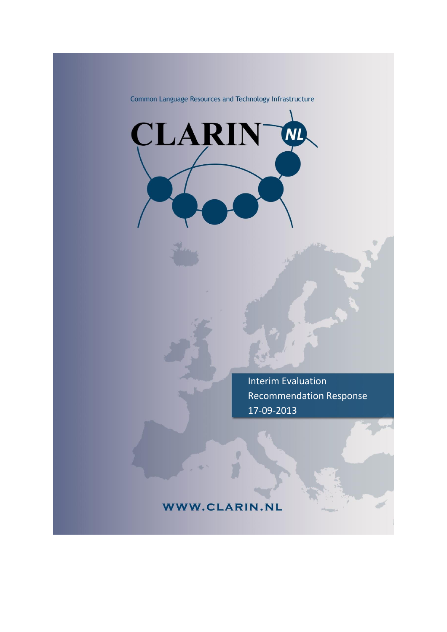Common Language Resources and Technology Infrastructure

CLARIN

Interim Evaluation Recommendation Response 17-09-2013

## WWW.CLARIN.NL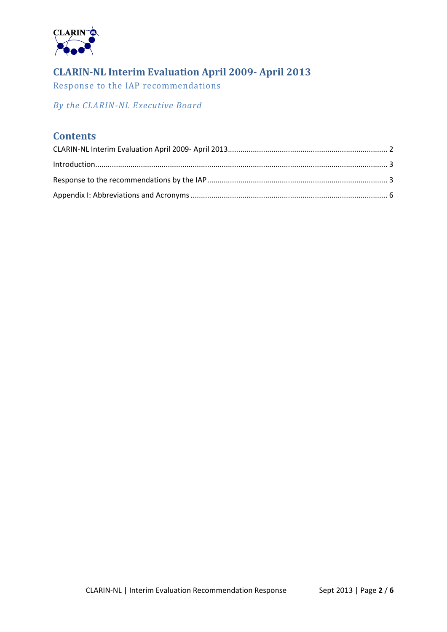

# <span id="page-1-0"></span>**CLARIN-NL Interim Evaluation April 2009- April 2013**

Response to the IAP recommendations

*By the CLARIN-NL Executive Board*

### **Contents**

| Introduction 3 |  |
|----------------|--|
|                |  |
|                |  |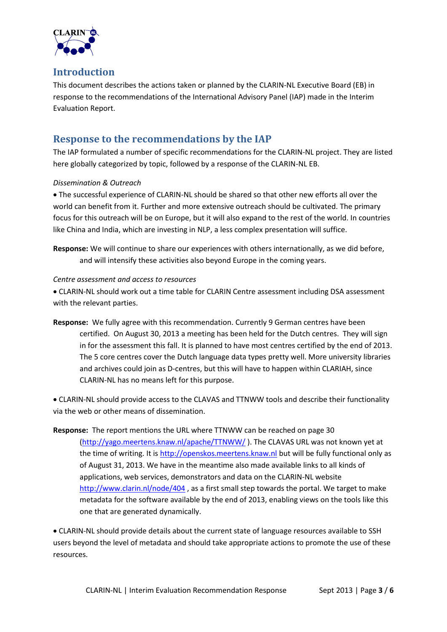

### <span id="page-2-0"></span>**Introduction**

This document describes the actions taken or planned by the CLARIN-NL Executive Board (EB) in response to the recommendations of the International Advisory Panel (IAP) made in the Interim Evaluation Report.

## <span id="page-2-1"></span>**Response to the recommendations by the IAP**

The IAP formulated a number of specific recommendations for the CLARIN-NL project. They are listed here globally categorized by topic, followed by a response of the CLARIN-NL EB.

### *Dissemination & Outreach*

 The successful experience of CLARIN-NL should be shared so that other new efforts all over the world can benefit from it. Further and more extensive outreach should be cultivated. The primary focus for this outreach will be on Europe, but it will also expand to the rest of the world. In countries like China and India, which are investing in NLP, a less complex presentation will suffice.

**Response:** We will continue to share our experiences with others internationally, as we did before, and will intensify these activities also beyond Europe in the coming years.

### *Centre assessment and access to resources*

 CLARIN-NL should work out a time table for CLARIN Centre assessment including DSA assessment with the relevant parties.

**Response:** We fully agree with this recommendation. Currently 9 German centres have been certified. On August 30, 2013 a meeting has been held for the Dutch centres. They will sign in for the assessment this fall. It is planned to have most centres certified by the end of 2013. The 5 core centres cover the Dutch language data types pretty well. More university libraries and archives could join as D-centres, but this will have to happen within CLARIAH, since CLARIN-NL has no means left for this purpose.

 CLARIN-NL should provide access to the CLAVAS and TTNWW tools and describe their functionality via the web or other means of dissemination.

**Response:** The report mentions the URL where TTNWW can be reached on page 30 [\(http://yago.meertens.knaw.nl/apache/TTNWW/](http://yago.meertens.knaw.nl/apache/TTNWW/) ). The CLAVAS URL was not known yet at the time of writing. It is [http://openskos.meertens.knaw.nl](http://openskos.meertens.knaw.nl/) but will be fully functional only as of August 31, 2013. We have in the meantime also made available links to all kinds of applications, web services, demonstrators and data on the CLARIN-NL website <http://www.clarin.nl/node/404> , as a first small step towards the portal. We target to make metadata for the software available by the end of 2013, enabling views on the tools like this one that are generated dynamically.

 CLARIN-NL should provide details about the current state of language resources available to SSH users beyond the level of metadata and should take appropriate actions to promote the use of these resources.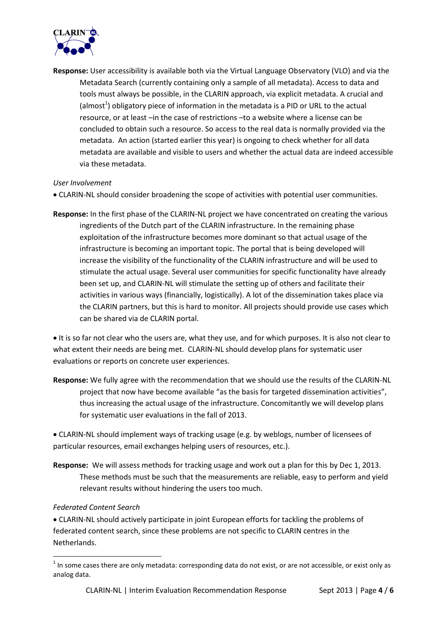

**Response:** User accessibility is available both via the Virtual Language Observatory (VLO) and via the Metadata Search (currently containing only a sample of all metadata). Access to data and tools must always be possible, in the CLARIN approach, via explicit metadata. A crucial and (almost<sup>1</sup>) obligatory piece of information in the metadata is a PID or URL to the actual resource, or at least –in the case of restrictions –to a website where a license can be concluded to obtain such a resource. So access to the real data is normally provided via the metadata. An action (started earlier this year) is ongoing to check whether for all data metadata are available and visible to users and whether the actual data are indeed accessible via these metadata.

#### *User Involvement*

- CLARIN-NL should consider broadening the scope of activities with potential user communities.
- **Response:** In the first phase of the CLARIN-NL project we have concentrated on creating the various ingredients of the Dutch part of the CLARIN infrastructure. In the remaining phase exploitation of the infrastructure becomes more dominant so that actual usage of the infrastructure is becoming an important topic. The portal that is being developed will increase the visibility of the functionality of the CLARIN infrastructure and will be used to stimulate the actual usage. Several user communities for specific functionality have already been set up, and CLARIN-NL will stimulate the setting up of others and facilitate their activities in various ways (financially, logistically). A lot of the dissemination takes place via the CLARIN partners, but this is hard to monitor. All projects should provide use cases which can be shared via de CLARIN portal.

It is so far not clear who the users are, what they use, and for which purposes. It is also not clear to what extent their needs are being met. CLARIN-NL should develop plans for systematic user evaluations or reports on concrete user experiences.

**Response:** We fully agree with the recommendation that we should use the results of the CLARIN-NL project that now have become available "as the basis for targeted dissemination activities", thus increasing the actual usage of the infrastructure. Concomitantly we will develop plans for systematic user evaluations in the fall of 2013.

 CLARIN-NL should implement ways of tracking usage (e.g. by weblogs, number of licensees of particular resources, email exchanges helping users of resources, etc.).

**Response:** We will assess methods for tracking usage and work out a plan for this by Dec 1, 2013. These methods must be such that the measurements are reliable, easy to perform and yield relevant results without hindering the users too much.

#### *Federated Content Search*

1

 CLARIN-NL should actively participate in joint European efforts for tackling the problems of federated content search, since these problems are not specific to CLARIN centres in the Netherlands.

 $1$  In some cases there are only metadata: corresponding data do not exist, or are not accessible, or exist only as analog data.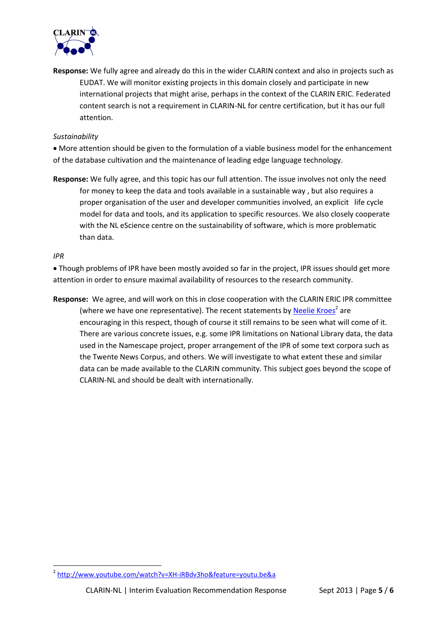

**Response:** We fully agree and already do this in the wider CLARIN context and also in projects such as EUDAT. We will monitor existing projects in this domain closely and participate in new international projects that might arise, perhaps in the context of the CLARIN ERIC. Federated content search is not a requirement in CLARIN-NL for centre certification, but it has our full attention.

#### *Sustainability*

 More attention should be given to the formulation of a viable business model for the enhancement of the database cultivation and the maintenance of leading edge language technology.

**Response:** We fully agree, and this topic has our full attention. The issue involves not only the need for money to keep the data and tools available in a sustainable way , but also requires a proper organisation of the user and developer communities involved, an explicit life cycle model for data and tools, and its application to specific resources. We also closely cooperate with the NL eScience centre on the sustainability of software, which is more problematic than data.

#### *IPR*

 Though problems of IPR have been mostly avoided so far in the project, IPR issues should get more attention in order to ensure maximal availability of resources to the research community.

**Response:** We agree, and will work on this in close cooperation with the CLARIN ERIC IPR committee (where we have one representative). The recent statements b[y Neelie Kroes](http://www.youtube.com/watch?v=XH-iRBdv3ho&feature=youtu.be&a)<sup>2</sup> are encouraging in this respect, though of course it still remains to be seen what will come of it. There are various concrete issues, e.g. some IPR limitations on National Library data, the data used in the Namescape project, proper arrangement of the IPR of some text corpora such as the Twente News Corpus, and others. We will investigate to what extent these and similar data can be made available to the CLARIN community. This subject goes beyond the scope of CLARIN-NL and should be dealt with internationally.

 2 <http://www.youtube.com/watch?v=XH-iRBdv3ho&feature=youtu.be&a>